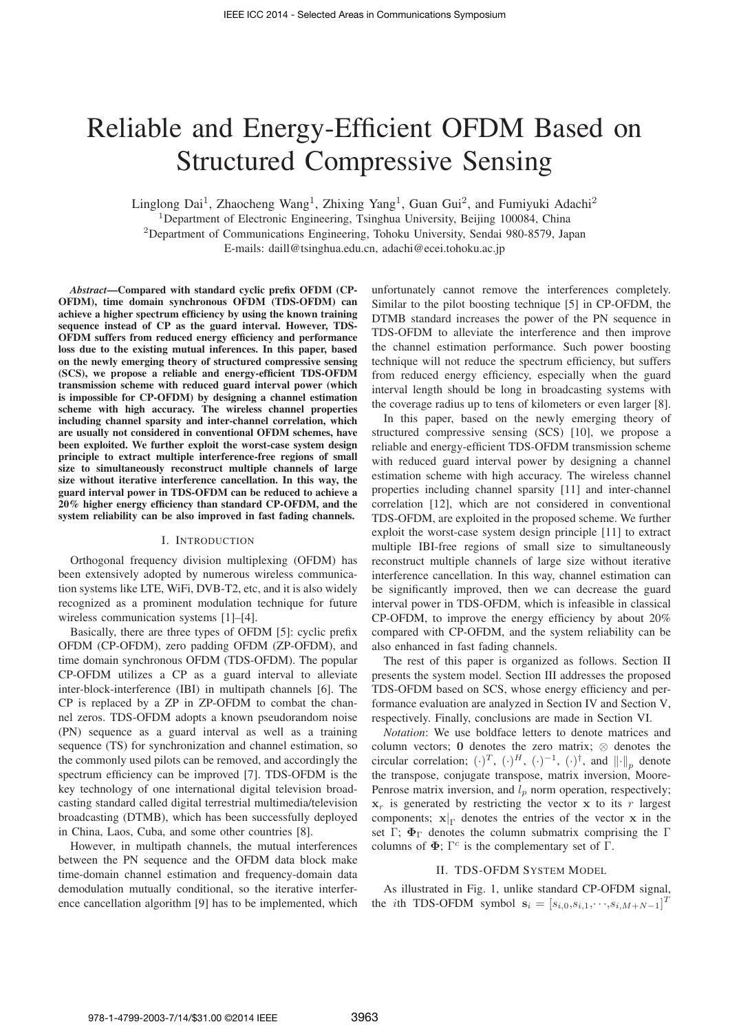# Reliable and Energy-Efficient OFDM Based on Structured Compressive Sensing

Linglong Dai<sup>1</sup>, Zhaocheng Wang<sup>1</sup>, Zhixing Yang<sup>1</sup>, Guan Gui<sup>2</sup>, and Fumiyuki Adachi<sup>2</sup> <sup>1</sup>Department of Electronic Engineering, Tsinghua University, Beijing 100084, China <sup>2</sup>Department of Communications Engineering, Tohoku University, Sendai 980-8579, Japan E-mails: daill@tsinghua.edu.cn, adachi@ecei.tohoku.ac.jp

*Abstract*—Compared with standard cyclic prefix OFDM (CP-OFDM), time domain synchronous OFDM (TDS-OFDM) can achieve a higher spectrum efficiency by using the known training sequence instead of CP as the guard interval. However, TDS-OFDM suffers from reduced energy efficiency and performance loss due to the existing mutual inferences. In this paper, based on the newly emerging theory of structured compressive sensing (SCS), we propose a reliable and energy-efficient TDS-OFDM transmission scheme with reduced guard interval power (which is impossible for CP-OFDM) by designing a channel estimation scheme with high accuracy. The wireless channel properties including channel sparsity and inter-channel correlation, which are usually not considered in conventional OFDM schemes, have been exploited. We further exploit the worst-case system design principle to extract multiple interference-free regions of small size to simultaneously reconstruct multiple channels of large size without iterative interference cancellation. In this way, the guard interval power in TDS-OFDM can be reduced to achieve a 20% higher energy efficiency than standard CP-OFDM, and the system reliability can be also improved in fast fading channels.

#### I. INTRODUCTION

Orthogonal frequency division multiplexing (OFDM) has been extensively adopted by numerous wireless communication systems like LTE, WiFi, DVB-T2, etc, and it is also widely recognized as a prominent modulation technique for future wireless communication systems [1]–[4].

Basically, there are three types of OFDM [5]: cyclic prefix OFDM (CP-OFDM), zero padding OFDM (ZP-OFDM), and time domain synchronous OFDM (TDS-OFDM). The popular CP-OFDM utilizes a CP as a guard interval to alleviate inter-block-interference (IBI) in multipath channels [6]. The CP is replaced by a ZP in ZP-OFDM to combat the channel zeros. TDS-OFDM adopts a known pseudorandom noise (PN) sequence as a guard interval as well as a training sequence (TS) for synchronization and channel estimation, so the commonly used pilots can be removed, and accordingly the spectrum efficiency can be improved [7]. TDS-OFDM is the key technology of one international digital television broadcasting standard called digital terrestrial multimedia/television broadcasting (DTMB), which has been successfully deployed in China, Laos, Cuba, and some other countries [8].

However, in multipath channels, the mutual interferences between the PN sequence and the OFDM data block make time-domain channel estimation and frequency-domain data demodulation mutually conditional, so the iterative interference cancellation algorithm [9] has to be implemented, which

unfortunately cannot remove the interferences completely. Similar to the pilot boosting technique [5] in CP-OFDM, the DTMB standard increases the power of the PN sequence in TDS-OFDM to alleviate the interference and then improve the channel estimation performance. Such power boosting technique will not reduce the spectrum efficiency, but suffers from reduced energy efficiency, especially when the guard interval length should be long in broadcasting systems with the coverage radius up to tens of kilometers or even larger [8].

In this paper, based on the newly emerging theory of structured compressive sensing (SCS) [10], we propose a reliable and energy-efficient TDS-OFDM transmission scheme with reduced guard interval power by designing a channel estimation scheme with high accuracy. The wireless channel properties including channel sparsity [11] and inter-channel correlation [12], which are not considered in conventional TDS-OFDM, are exploited in the proposed scheme. We further exploit the worst-case system design principle [11] to extract multiple IBI-free regions of small size to simultaneously reconstruct multiple channels of large size without iterative interference cancellation. In this way, channel estimation can be significantly improved, then we can decrease the guard interval power in TDS-OFDM, which is infeasible in classical CP-OFDM, to improve the energy efficiency by about 20% compared with CP-OFDM, and the system reliability can be also enhanced in fast fading channels.

The rest of this paper is organized as follows. Section II presents the system model. Section III addresses the proposed TDS-OFDM based on SCS, whose energy efficiency and performance evaluation are analyzed in Section IV and Section V, respectively. Finally, conclusions are made in Section VI.

*Notation*: We use boldface letters to denote matrices and column vectors; **<sup>0</sup>** denotes the zero matrix; <sup>⊗</sup> denotes the circular correlation;  $(\cdot)^T$ ,  $(\cdot)^H$ ,  $(\cdot)^{-1}$ ,  $(\cdot)^{\dagger}$ , and  $\|\cdot\|_p$  denote the transpose, conjugate transpose, matrix inversion, Moore-Penrose matrix inversion, and  $l_p$  norm operation, respectively;  $x_r$  is generated by restricting the vector  $x$  to its  $r$  largest components; **<sup>x</sup>**<sup>|</sup> <sup>Γ</sup> denotes the entries of the vector **x** in the set Γ;  $\Phi_{\Gamma}$  denotes the column submatrix comprising the Γ columns of  $\Phi$ ;  $\Gamma^c$  is the complementary set of  $\Gamma$ .

## II. TDS-OFDM SYSTEM MODEL

As illustrated in Fig. 1, unlike standard CP-OFDM signal, the *i*th TDS-OFDM symbol  $\mathbf{s}_i = [s_{i,0}, s_{i,1}, \cdots, s_{i,M+N-1}]^T$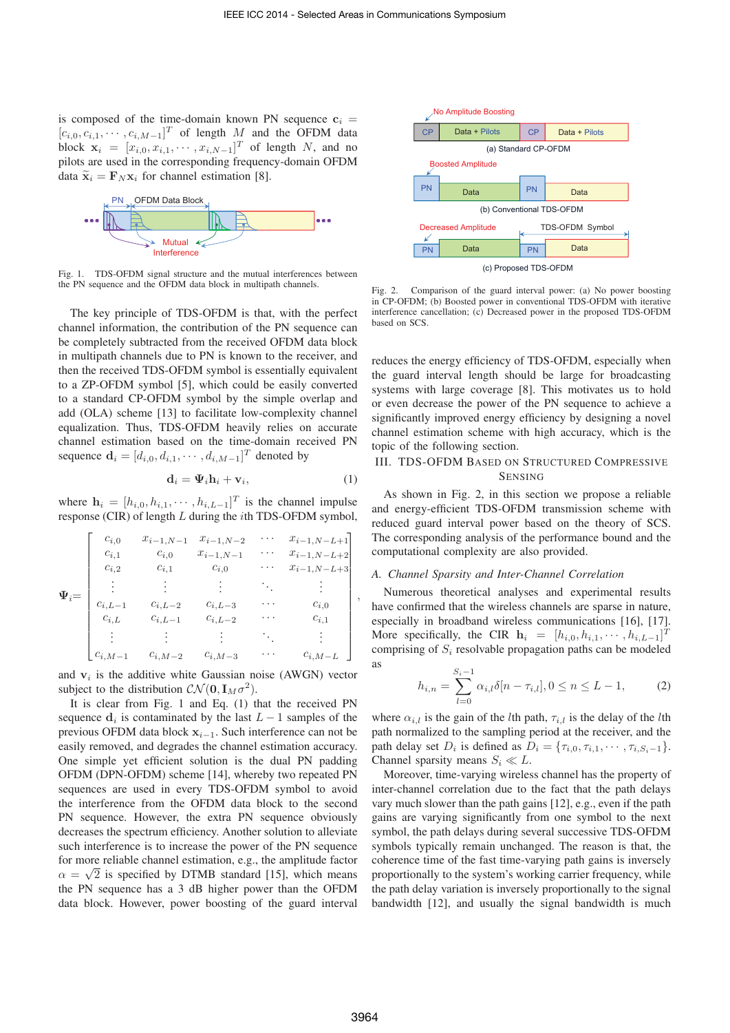is composed of the time-domain known PN sequence  $c_i$  =  $[c_{i,0}, c_{i,1}, \cdots, c_{i,M-1}]^T$  of length *M* and the OFDM data<br>block  $\mathbf{x}_i = [x_{i,0}, x_{i,1}, \cdots, x_{i,N-1}]^T$  of length *N* and no block  $\mathbf{x}_i = [x_{i,0}, x_{i,1}, \cdots, x_{i,N-1}]^T$  of length *N*, and no<br>pilots are used in the corresponding frequency-domain OFDM pilots are used in the corresponding frequency-domain OFDM data  $\tilde{\mathbf{x}}_i = \mathbf{F}_N \mathbf{x}_i$  for channel estimation [8].



Fig. 1. TDS-OFDM signal structure and the mutual interferences between the PN sequence and the OFDM data block in multipath channels.

The key principle of TDS-OFDM is that, with the perfect channel information, the contribution of the PN sequence can be completely subtracted from the received OFDM data block in multipath channels due to PN is known to the receiver, and then the received TDS-OFDM symbol is essentially equivalent to a ZP-OFDM symbol [5], which could be easily converted to a standard CP-OFDM symbol by the simple overlap and add (OLA) scheme [13] to facilitate low-complexity channel equalization. Thus, TDS-OFDM heavily relies on accurate channel estimation based on the time-domain received PN sequence  $\mathbf{d}_i = [d_{i,0}, d_{i,1}, \cdots, d_{i,M-1}]^T$  denoted by

$$
\mathbf{d}_i = \mathbf{\Psi}_i \mathbf{h}_i + \mathbf{v}_i,\tag{1}
$$

where  $\mathbf{h}_i = [h_{i,0}, h_{i,1}, \cdots, h_{i,L-1}]^T$  is the channel impulse<br>response (CIR) of length L during the *i*th TDS-OEDM symbol response (CIR) of length *L* during the *i*th TDS-OFDM symbol,

| $\Psi_i =$ | $c_{i,0}$<br>$c_{i,1}$<br>$c_{i,2}$ | $x_{i-1,N-1}$<br>$c_{i,0}$<br>$c_{i,1}$ | $x_{i-1,N-2}$<br>$x_{i-1,N-1}$<br>$c_{i,0}$ | $\cdots$<br>.<br>. | $x_{i-1,N-L+1}$<br>$x_{i-1,N-L+2}$<br>$x_{i-1,N-L+3}$ |
|------------|-------------------------------------|-----------------------------------------|---------------------------------------------|--------------------|-------------------------------------------------------|
|            | $c_{i,L-1}$                         | $c_{i,L-2}$                             | $c_{i,L-3}$                                 | ٠.,<br>.           | $c_{i,0}$                                             |
|            | $c_{i,L}$                           | $c_{i,L-1}$                             | $c_{i,L-2}$                                 | $\cdot$ $\cdot$    | $c_{i,1}$                                             |
|            | $c_{i,M-1}$                         | $c_{i,M-2}$                             | $c_{i,M-3}$                                 |                    | $c_{i,M-L}$                                           |

and  $v_i$  is the additive white Gaussian noise (AWGN) vector subject to the distribution  $\mathcal{CN}(\mathbf{0}, \mathbf{I}_M \sigma^2)$ .

It is clear from Fig. 1 and Eq. (1) that the received PN sequence  $\mathbf{d}_i$  is contaminated by the last  $L-1$  samples of the previous OFDM data block **<sup>x</sup>**<sup>i</sup>−<sup>1</sup>. Such interference can not be easily removed, and degrades the channel estimation accuracy. One simple yet efficient solution is the dual PN padding OFDM (DPN-OFDM) scheme [14], whereby two repeated PN sequences are used in every TDS-OFDM symbol to avoid the interference from the OFDM data block to the second PN sequence. However, the extra PN sequence obviously decreases the spectrum efficiency. Another solution to alleviate such interference is to increase the power of the PN sequence for more reliable channel estimation, e.g., the amplitude factor  $\alpha = \sqrt{2}$  is specified by DTMB standard [15], which means the PN sequence has a 3 dB higher power than the OFDM data block. However, power boosting of the guard interval



Fig. 2. Comparison of the guard interval power: (a) No power boosting in CP-OFDM; (b) Boosted power in conventional TDS-OFDM with iterative interference cancellation; (c) Decreased power in the proposed TDS-OFDM based on SCS.

reduces the energy efficiency of TDS-OFDM, especially when the guard interval length should be large for broadcasting systems with large coverage [8]. This motivates us to hold or even decrease the power of the PN sequence to achieve a significantly improved energy efficiency by designing a novel channel estimation scheme with high accuracy, which is the topic of the following section.

## III. TDS-OFDM BASED ON STRUCTURED COMPRESSIVE SENSING

As shown in Fig. 2, in this section we propose a reliable and energy-efficient TDS-OFDM transmission scheme with reduced guard interval power based on the theory of SCS. The corresponding analysis of the performance bound and the computational complexity are also provided.

#### *A. Channel Sparsity and Inter-Channel Correlation*

Numerous theoretical analyses and experimental results have confirmed that the wireless channels are sparse in nature, especially in broadband wireless communications [16], [17]. More specifically, the CIR  $\mathbf{h}_i = [h_{i,0}, h_{i,1}, \dots, h_{i,L-1}]^T$ <br>comprising of *S<sub>i</sub>* resolvable propagation paths can be modeled comprising of *S*<sup>i</sup> resolvable propagation paths can be modeled as

$$
h_{i,n} = \sum_{l=0}^{S_i - 1} \alpha_{i,l} \delta[n - \tau_{i,l}], 0 \le n \le L - 1,
$$
 (2)

where  $\alpha_{i,l}$  is the gain of the *l*th path,  $\tau_{i,l}$  is the delay of the *l*th path normalized to the sampling period at the receiver, and the path delay set  $D_i$  is defined as  $D_i = {\tau_{i,0}, \tau_{i,1}, \cdots, \tau_{i,S_i-1}}$ . Channel sparsity means  $S_i \ll L$ .

Moreover, time-varying wireless channel has the property of inter-channel correlation due to the fact that the path delays vary much slower than the path gains [12], e.g., even if the path gains are varying significantly from one symbol to the next symbol, the path delays during several successive TDS-OFDM symbols typically remain unchanged. The reason is that, the coherence time of the fast time-varying path gains is inversely proportionally to the system's working carrier frequency, while the path delay variation is inversely proportionally to the signal bandwidth [12], and usually the signal bandwidth is much

*,*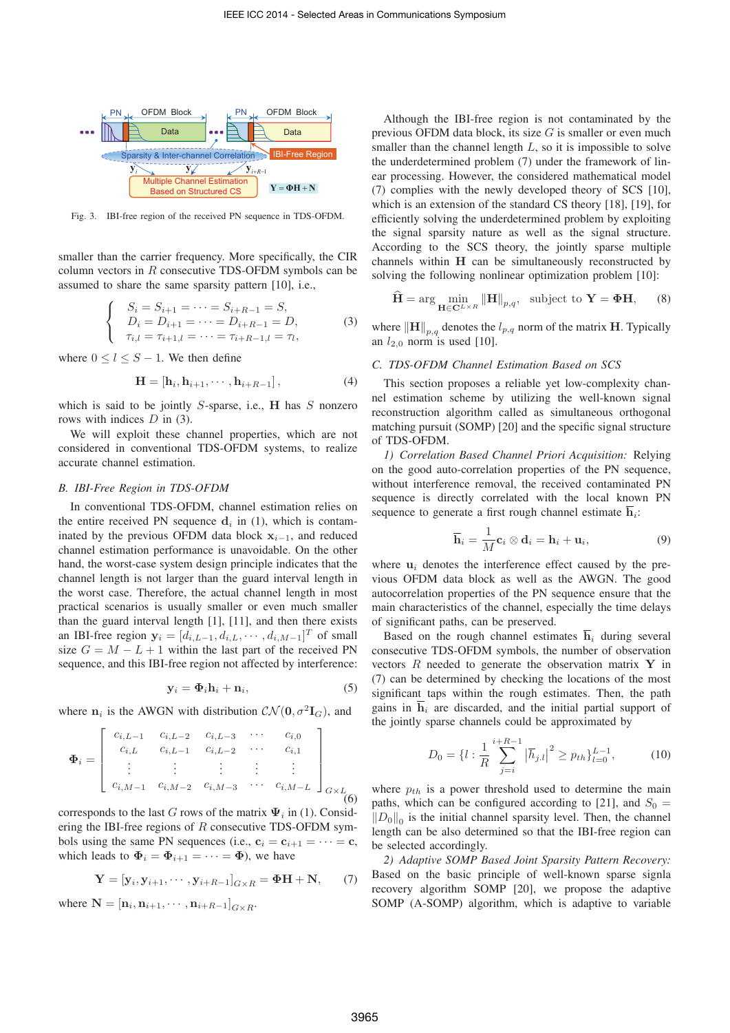

Fig. 3. IBI-free region of the received PN sequence in TDS-OFDM.

smaller than the carrier frequency. More specifically, the CIR column vectors in *R* consecutive TDS-OFDM symbols can be assumed to share the same sparsity pattern [10], i.e.,

$$
\begin{cases}\nS_i = S_{i+1} = \dots = S_{i+R-1} = S, \\
D_i = D_{i+1} = \dots = D_{i+R-1} = D, \\
\tau_{i,l} = \tau_{i+1,l} = \dots = \tau_{i+R-1,l} = \tau_l,\n\end{cases} (3)
$$

where  $0 \leq l \leq S-1$ . We then define

$$
\mathbf{H} = \left[\mathbf{h}_i, \mathbf{h}_{i+1}, \cdots, \mathbf{h}_{i+R-1}\right],\tag{4}
$$

which is said to be jointly *S*-sparse, i.e., **H** has *S* nonzero rows with indices *D* in (3).

We will exploit these channel properties, which are not considered in conventional TDS-OFDM systems, to realize accurate channel estimation.

## *B. IBI-Free Region in TDS-OFDM*

In conventional TDS-OFDM, channel estimation relies on the entire received PN sequence  $\mathbf{d}_i$  in (1), which is contaminated by the previous OFDM data block  $\mathbf{x}_{i-1}$ , and reduced channel estimation performance is unavoidable. On the other hand, the worst-case system design principle indicates that the channel length is not larger than the guard interval length in the worst case. Therefore, the actual channel length in most practical scenarios is usually smaller or even much smaller than the guard interval length [1], [11], and then there exists an IBI-free region  $\mathbf{y}_i = [d_{i,L-1}, d_{i,L}, \cdots, d_{i,M-1}]^T$  of small<br>size  $G = M - L + 1$  within the last part of the received PN size  $G = M - L + 1$  within the last part of the received PN sequence, and this IBI-free region not affected by interference:

$$
\mathbf{y}_i = \mathbf{\Phi}_i \mathbf{h}_i + \mathbf{n}_i, \tag{5}
$$

where  $n_i$  is the AWGN with distribution  $\mathcal{CN}(\mathbf{0}, \sigma^2 \mathbf{I}_G)$ , and

$$
\Phi_{i} = \begin{bmatrix} c_{i,L-1} & c_{i,L-2} & c_{i,L-3} & \cdots & c_{i,0} \\ c_{i,L} & c_{i,L-1} & c_{i,L-2} & \cdots & c_{i,1} \\ \vdots & \vdots & \vdots & \vdots & \vdots \\ c_{i,M-1} & c_{i,M-2} & c_{i,M-3} & \cdots & c_{i,M-L} \end{bmatrix}_{G \times L}
$$
(6)

corresponds to the last *G* rows of the matrix  $\Psi_i$  in (1). Considering the IBI-free regions of *R* consecutive TDS-OFDM symbols using the same PN sequences (i.e.,  $\mathbf{c}_i = \mathbf{c}_{i+1} = \cdots = \mathbf{c}$ , which leads to  $\Phi_i = \Phi_{i+1} = \cdots = \Phi$ ), we have

$$
\mathbf{Y} = [\mathbf{y}_i, \mathbf{y}_{i+1}, \cdots, \mathbf{y}_{i+R-1}]_{G \times R} = \mathbf{\Phi} \mathbf{H} + \mathbf{N}, \qquad (7)
$$

where  $N = [\mathbf{n}_i, \mathbf{n}_{i+1}, \cdots, \mathbf{n}_{i+R-1}]_{G \times R}$ .

Although the IBI-free region is not contaminated by the previous OFDM data block, its size *G* is smaller or even much smaller than the channel length *L*, so it is impossible to solve the underdetermined problem (7) under the framework of linear processing. However, the considered mathematical model (7) complies with the newly developed theory of SCS [10], which is an extension of the standard CS theory [18], [19], for efficiently solving the underdetermined problem by exploiting the signal sparsity nature as well as the signal structure. According to the SCS theory, the jointly sparse multiple channels within **H** can be simultaneously reconstructed by solving the following nonlinear optimization problem [10]:

$$
\widehat{\mathbf{H}} = \arg\min_{\mathbf{H} \in \mathbf{C}^{L \times R}} \|\mathbf{H}\|_{p,q}, \text{ subject to } \mathbf{Y} = \mathbf{\Phi}\mathbf{H}, \quad (8)
$$

where  $\|\mathbf{H}\|_{p,q}$  denotes the  $l_{p,q}$  norm of the matrix **H**. Typically an  $l_{2,0}$  norm is used [10].

## *C. TDS-OFDM Channel Estimation Based on SCS*

This section proposes a reliable yet low-complexity channel estimation scheme by utilizing the well-known signal reconstruction algorithm called as simultaneous orthogonal matching pursuit (SOMP) [20] and the specific signal structure of TDS-OFDM.

*1) Correlation Based Channel Priori Acquisition:* Relying on the good auto-correlation properties of the PN sequence, without interference removal, the received contaminated PN sequence is directly correlated with the local known PN sequence to generate a first rough channel estimate  $h_i$ :

$$
\overline{\mathbf{h}}_i = \frac{1}{M} \mathbf{c}_i \otimes \mathbf{d}_i = \mathbf{h}_i + \mathbf{u}_i, \tag{9}
$$

where  $\mathbf{u}_i$  denotes the interference effect caused by the previous OFDM data block as well as the AWGN. The good autocorrelation properties of the PN sequence ensure that the main characteristics of the channel, especially the time delays of significant paths, can be preserved.

Based on the rough channel estimates  $\overline{\mathbf{h}}_i$  during several consecutive TDS-OFDM symbols, the number of observation vectors *R* needed to generate the observation matrix **Y** in (7) can be determined by checking the locations of the most significant taps within the rough estimates. Then, the path gains in  $\overline{\mathbf{h}}_i$  are discarded, and the initial partial support of the jointly sparse channels could be approximated by

$$
D_0 = \{l : \frac{1}{R} \sum_{j=i}^{i+R-1} |\overline{h}_{j.l}|^2 \ge p_{th}\}_{l=0}^{L-1},\tag{10}
$$

where  $p_{th}$  is a power threshold used to determine the main paths, which can be configured according to [21], and  $S_0 =$  $||D_0||_0$  is the initial channel sparsity level. Then, the channel length can be also determined so that the IBI-free region can be selected accordingly.

*2) Adaptive SOMP Based Joint Sparsity Pattern Recovery:* Based on the basic principle of well-known sparse signla recovery algorithm SOMP [20], we propose the adaptive SOMP (A-SOMP) algorithm, which is adaptive to variable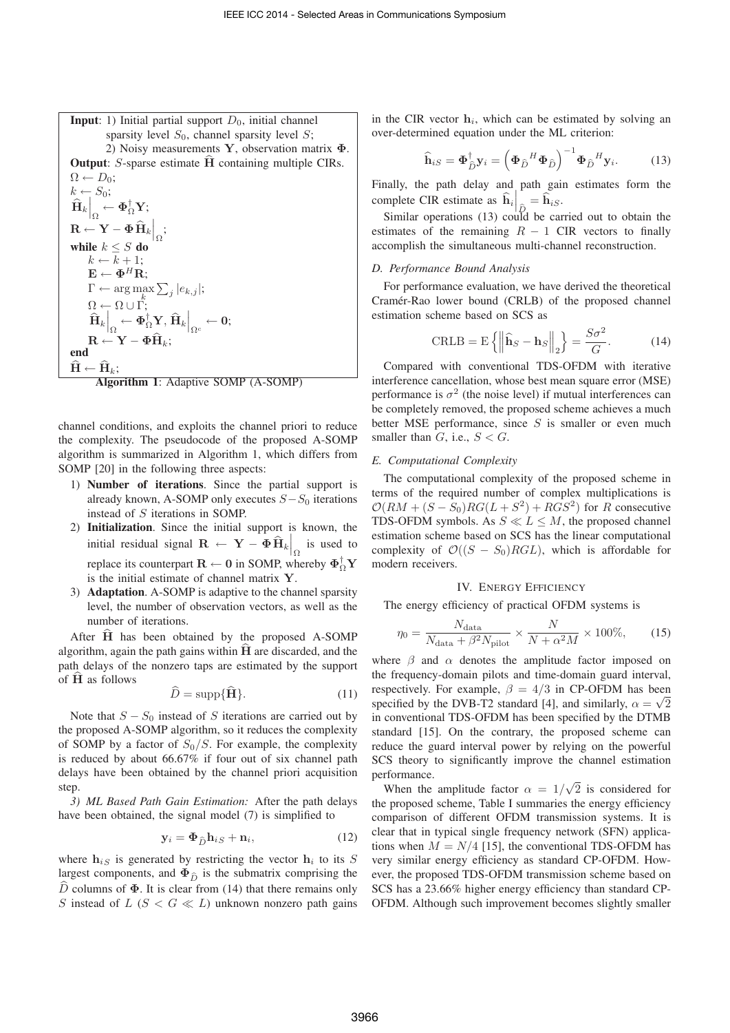**Input**: 1) Initial partial support  $D_0$ , initial channel sparsity level  $S_0$ , channel sparsity level  $S$ ; 2) Noisy measurements **Y**, observation matrix **Φ**. **Output:** *S*-sparse estimate **H** containing multiple CIRs.<br> $\Omega \leftarrow D_0$ ;  $\Omega \leftarrow D_0;$ <br> $k \leftarrow S_0;$  $\left.\hat{\mathbf{H}}_k\right|_{\Omega}^{\omega_0}$   $\leftarrow$   $\mathbf{\Phi}^{\dagger}_{\Omega}\mathbf{Y};$  $\mathbf{R} \leftarrow \mathbf{Y} - \mathbf{\Phi} \, \widehat{\mathbf{H}}_k \bigg|_{\Omega};$ while  $k \leq S$  do  $k \leftarrow \overline{k} + 1;$  $\mathbf{E} \leftarrow \mathbf{\Phi}^H \mathbf{R}$ ;  $\Gamma \leftarrow \arg \max_{k} \sum_{j} |e_{k,j}|;$  $\left.\frac{\hat{\mathbf{H}}_k}{\hat{\mathbf{H}}_k}\right|_{\Omega}\leftarrow \mathbf{\Phi}^{\dagger}_{\Omega}\mathbf{Y}, \left.\mathbf{\widehat{H}}_k\right|_{\Omega^c}\leftarrow \mathbf{0};$  $\mathbf{R} \leftarrow \mathbf{Y} - \mathbf{\Phi} \widehat{\mathbf{H}}_k;$ end  $\hat{\mathbf{H}} \leftarrow \hat{\mathbf{H}}_k;$ 



channel conditions, and exploits the channel priori to reduce the complexity. The pseudocode of the proposed A-SOMP algorithm is summarized in Algorithm 1, which differs from SOMP [20] in the following three aspects:

- 1) Number of iterations. Since the partial support is already known, A-SOMP only executes  $S - S_0$  iterations instead of *S* iterations in SOMP.
- 2) Initialization. Since the initial support is known, the initial residual signal  $\mathbf{R} \leftarrow \mathbf{Y} - \mathbf{\Phi} \hat{\mathbf{H}}_k \bigg|_{\Omega}$  is used to replace its counterpart  $\mathbf{R} \leftarrow \mathbf{0}$  in SOMP, whereby  $\Phi_{\Omega}^{\dagger} \mathbf{Y}$ is the initial estimate of channel matrix **Y**.
- 3) Adaptation. A-SOMP is adaptive to the channel sparsity level, the number of observation vectors, as well as the number of iterations.

After  $\hat{H}$  has been obtained by the proposed A-SOMP algorithm, again the path gains within  $\hat{H}$  are discarded, and the path delays of the nonzero taps are estimated by the support of **<sup>H</sup>** as follows

$$
\widehat{D} = \text{supp}\{\widehat{\mathbf{H}}\}.
$$
 (11)

Note that  $S - S_0$  instead of *S* iterations are carried out by the proposed A-SOMP algorithm, so it reduces the complexity of SOMP by a factor of *S*0*/S*. For example, the complexity is reduced by about 66.67% if four out of six channel path delays have been obtained by the channel priori acquisition step.

*3) ML Based Path Gain Estimation:* After the path delays have been obtained, the signal model (7) is simplified to

$$
\mathbf{y}_i = \mathbf{\Phi}_{\widehat{D}} \mathbf{h}_{iS} + \mathbf{n}_i, \tag{12}
$$

where  $h_{iS}$  is generated by restricting the vector  $h_i$  to its *S* largest components, and  $\Phi_{\hat{D}}$  is the submatrix comprising the  $\hat{D}$  columns of  $\Phi$ . It is clear from (14) that there remains only *S* instead of  $L$  ( $S < G \ll L$ ) unknown nonzero path gains

in the CIR vector  $\mathbf{h}_i$ , which can be estimated by solving an over-determined equation under the ML criterion:

$$
\widehat{\mathbf{h}}_{iS} = \mathbf{\Phi}_{\widehat{D}}^{\dagger} \mathbf{y}_i = \left(\mathbf{\Phi}_{\widehat{D}}^H \mathbf{\Phi}_{\widehat{D}}\right)^{-1} \mathbf{\Phi}_{\widehat{D}}^H \mathbf{y}_i.
$$
 (13)

Finally, the path delay and path gain estimates form the complete CIR estimate as  $\hat{\mathbf{h}}_i \Big|_{\hat{D}} = \hat{\mathbf{h}}_{iS}$ .

Similar operations (13) could be carried out to obtain the estimates of the remaining  $R - 1$  CIR vectors to finally accomplish the simultaneous multi-channel reconstruction.

## *D. Performance Bound Analysis*

For performance evaluation, we have derived the theoretical Cramér-Rao lower bound (CRLB) of the proposed channel estimation scheme based on SCS as

$$
\text{CRLB} = \mathbf{E} \left\{ \left\| \widehat{\mathbf{h}}_S - \mathbf{h}_S \right\|_2 \right\} = \frac{S\sigma^2}{G}.
$$
 (14)

Compared with conventional TDS-OFDM with iterative interference cancellation, whose best mean square error (MSE) performance is  $\sigma^2$  (the noise level) if mutual interferences can be completely removed, the proposed scheme achieves a much better MSE performance, since *S* is smaller or even much smaller than  $G$ , i.e.,  $S < G$ .

#### *E. Computational Complexity*

The computational complexity of the proposed scheme in terms of the required number of complex multiplications is  $\mathcal{O}(RM + (S - S_0)RG(L + S^2) + RGS^2)$  for *R* consecutive TDS-OFDM symbols. As  $S \ll L \leq M$ , the proposed channel estimation scheme based on SCS has the linear computational complexity of  $\mathcal{O}((S - S_0)RGL)$ , which is affordable for modern receivers.

#### IV. ENERGY EFFICIENCY

The energy efficiency of practical OFDM systems is

$$
\eta_0 = \frac{N_{\text{data}}}{N_{\text{data}} + \beta^2 N_{\text{pilot}}} \times \frac{N}{N + \alpha^2 M} \times 100\%,\qquad(15)
$$

where  $\beta$  and  $\alpha$  denotes the amplitude factor imposed on the frequency-domain pilots and time-domain guard interval, respectively. For example,  $\beta = 4/3$  in CP-OFDM has been specified by the DVB-T2 standard [4], and similarly,  $\alpha = \sqrt{2}$ in conventional TDS-OFDM has been specified by the DTMB standard [15]. On the contrary, the proposed scheme can reduce the guard interval power by relying on the powerful SCS theory to significantly improve the channel estimation performance.

When the amplitude factor  $\alpha = 1/\sqrt{2}$  is considered for<br>a proposed scheme. Table I summaries the energy efficiency the proposed scheme, Table I summaries the energy efficiency comparison of different OFDM transmission systems. It is clear that in typical single frequency network (SFN) applications when  $M = N/4$  [15], the conventional TDS-OFDM has very similar energy efficiency as standard CP-OFDM. However, the proposed TDS-OFDM transmission scheme based on SCS has a 23.66% higher energy efficiency than standard CP-OFDM. Although such improvement becomes slightly smaller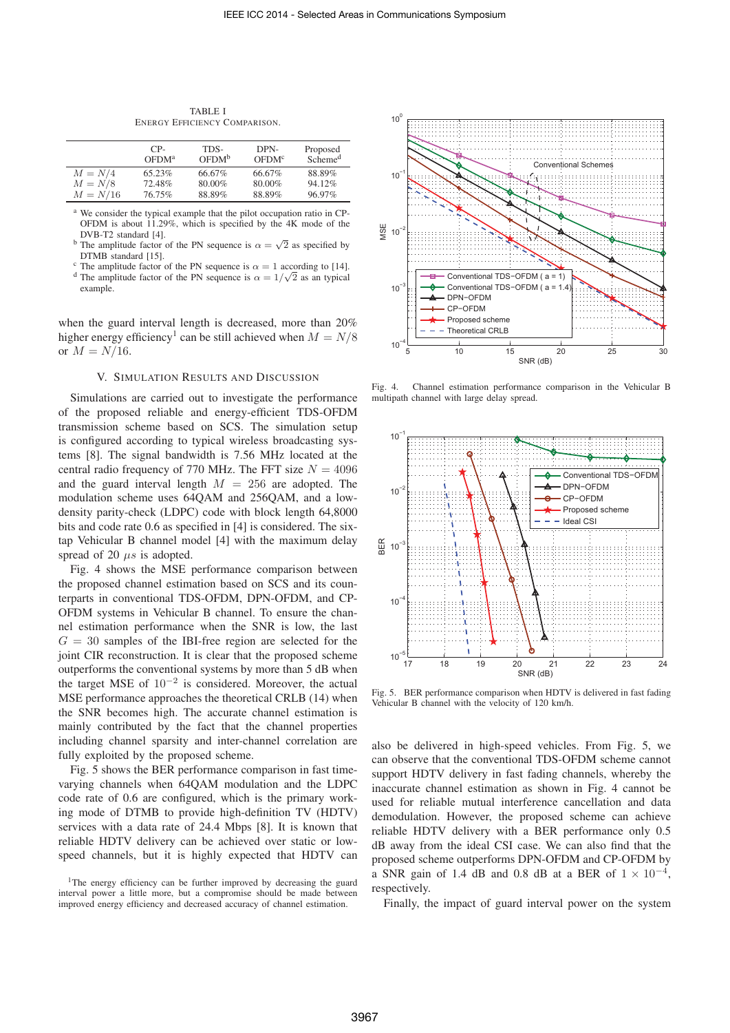|            | $CP-$<br>OFDM <sup>a</sup> | TDS-<br>OFDM <sup>b</sup> | DPN-<br>OFDM <sup>c</sup> | Proposed<br>Scheme <sup>d</sup> |
|------------|----------------------------|---------------------------|---------------------------|---------------------------------|
| $M = N/4$  | 65.23%                     | 66.67%                    | 66.67%                    | 88.89%                          |
| $M = N/8$  | 72.48%                     | 80.00%                    | 80.00%                    | 94.12%                          |
| $M = N/16$ | 76.75%                     | 88.89%                    | 88.89%                    | 96.97%                          |

TABLE I ENERGY EFFICIENCY COMPARISON.

<sup>a</sup> We consider the typical example that the pilot occupation ratio in CP-OFDM is about 11.29%, which is specified by the 4K mode of the DVB-T2 standard [4].

- <sup>b</sup> The amplitude factor of the PN sequence is  $\alpha = \sqrt{2}$  as specified by DTMB standard [15].<br><sup>c</sup> The amplitude factor of the PN sequence is  $\alpha = 1$  according to [14].
- <sup>c</sup> The amplitude factor of the PN sequence is  $\alpha = 1$  according to [14]. d<sup>d</sup> The amplitude factor of the PN sequence is  $\alpha = 1/\sqrt{2}$  as an typical example.

when the guard interval length is decreased, more than 20% higher energy efficiency<sup>1</sup> can be still achieved when  $M = N/8$ or  $M = N/16$ .

#### V. SIMULATION RESULTS AND DISCUSSION

Simulations are carried out to investigate the performance of the proposed reliable and energy-efficient TDS-OFDM transmission scheme based on SCS. The simulation setup is configured according to typical wireless broadcasting systems [8]. The signal bandwidth is 7.56 MHz located at the central radio frequency of 770 MHz. The FFT size  $N = 4096$ and the guard interval length  $M = 256$  are adopted. The modulation scheme uses 64QAM and 256QAM, and a lowdensity parity-check (LDPC) code with block length 64,8000 bits and code rate 0.6 as specified in [4] is considered. The sixtap Vehicular B channel model [4] with the maximum delay spread of 20 *μs* is adopted.

Fig. 4 shows the MSE performance comparison between the proposed channel estimation based on SCS and its counterparts in conventional TDS-OFDM, DPN-OFDM, and CP-OFDM systems in Vehicular B channel. To ensure the channel estimation performance when the SNR is low, the last  $G = 30$  samples of the IBI-free region are selected for the joint CIR reconstruction. It is clear that the proposed scheme outperforms the conventional systems by more than 5 dB when the target MSE of  $10^{-2}$  is considered. Moreover, the actual MSE performance approaches the theoretical CRLB (14) when the SNR becomes high. The accurate channel estimation is mainly contributed by the fact that the channel properties including channel sparsity and inter-channel correlation are fully exploited by the proposed scheme.

Fig. 5 shows the BER performance comparison in fast timevarying channels when 64QAM modulation and the LDPC code rate of 0.6 are configured, which is the primary working mode of DTMB to provide high-definition TV (HDTV) services with a data rate of 24.4 Mbps [8]. It is known that reliable HDTV delivery can be achieved over static or lowspeed channels, but it is highly expected that HDTV can



Fig. 4. Channel estimation performance comparison in the Vehicular B multipath channel with large delay spread.



Fig. 5. BER performance comparison when HDTV is delivered in fast fading Vehicular B channel with the velocity of 120 km/h.

also be delivered in high-speed vehicles. From Fig. 5, we can observe that the conventional TDS-OFDM scheme cannot support HDTV delivery in fast fading channels, whereby the inaccurate channel estimation as shown in Fig. 4 cannot be used for reliable mutual interference cancellation and data demodulation. However, the proposed scheme can achieve reliable HDTV delivery with a BER performance only 0.5 dB away from the ideal CSI case. We can also find that the proposed scheme outperforms DPN-OFDM and CP-OFDM by a SNR gain of 1.4 dB and 0.8 dB at a BER of  $1 \times 10^{-4}$ . respectively.

Finally, the impact of guard interval power on the system

<sup>&</sup>lt;sup>1</sup>The energy efficiency can be further improved by decreasing the guard interval power a little more, but a compromise should be made between improved energy efficiency and decreased accuracy of channel estimation.